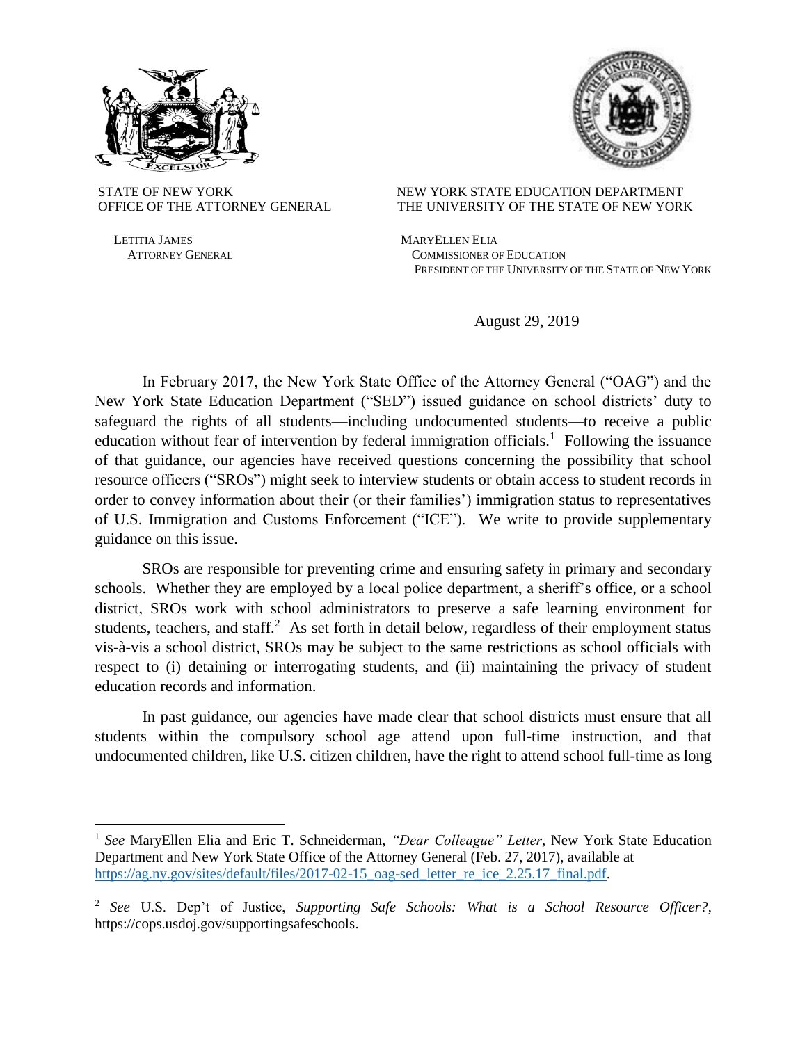



LETITIA JAMES MARYELLEN ELIA

 $\overline{\phantom{a}}$ 

## STATE OF NEW YORK NEW YORK STATE EDUCATION DEPARTMENT OFFICE OF THE ATTORNEY GENERAL THE UNIVERSITY OF THE STATE OF NEW YORK

 ATTORNEY GENERAL COMMISSIONER OF EDUCATION PRESIDENT OF THE UNIVERSITY OF THE STATE OF NEW YORK

August 29, 2019

In February 2017, the New York State Office of the Attorney General ("OAG") and the New York State Education Department ("SED") issued guidance on school districts' duty to safeguard the rights of all students—including undocumented students—to receive a public education without fear of intervention by federal immigration officials.<sup>1</sup> Following the issuance of that guidance, our agencies have received questions concerning the possibility that school resource officers ("SROs") might seek to interview students or obtain access to student records in order to convey information about their (or their families') immigration status to representatives of U.S. Immigration and Customs Enforcement ("ICE"). We write to provide supplementary guidance on this issue.

SROs are responsible for preventing crime and ensuring safety in primary and secondary schools. Whether they are employed by a local police department, a sheriff's office, or a school district, SROs work with school administrators to preserve a safe learning environment for students, teachers, and staff. $2$  As set forth in detail below, regardless of their employment status vis-à-vis a school district, SROs may be subject to the same restrictions as school officials with respect to (i) detaining or interrogating students, and (ii) maintaining the privacy of student education records and information.

In past guidance, our agencies have made clear that school districts must ensure that all students within the compulsory school age attend upon full-time instruction, and that undocumented children, like U.S. citizen children, have the right to attend school full-time as long

<sup>1</sup> *See* MaryEllen Elia and Eric T. Schneiderman, *"Dear Colleague" Letter*, New York State Education Department and New York State Office of the Attorney General (Feb. 27, 2017), available at [https://ag.ny.gov/sites/default/files/2017-02-15\\_oag-sed\\_letter\\_re\\_ice\\_2.25.17\\_final.pdf.](https://ag.ny.gov/sites/default/files/2017-02-15_oag-sed_letter_re_ice_2.25.17_final.pdf)

<sup>2</sup> *See* U.S. Dep't of Justice, *Supporting Safe Schools: What is a School Resource Officer?*, https://cops.usdoj.gov/supportingsafeschools.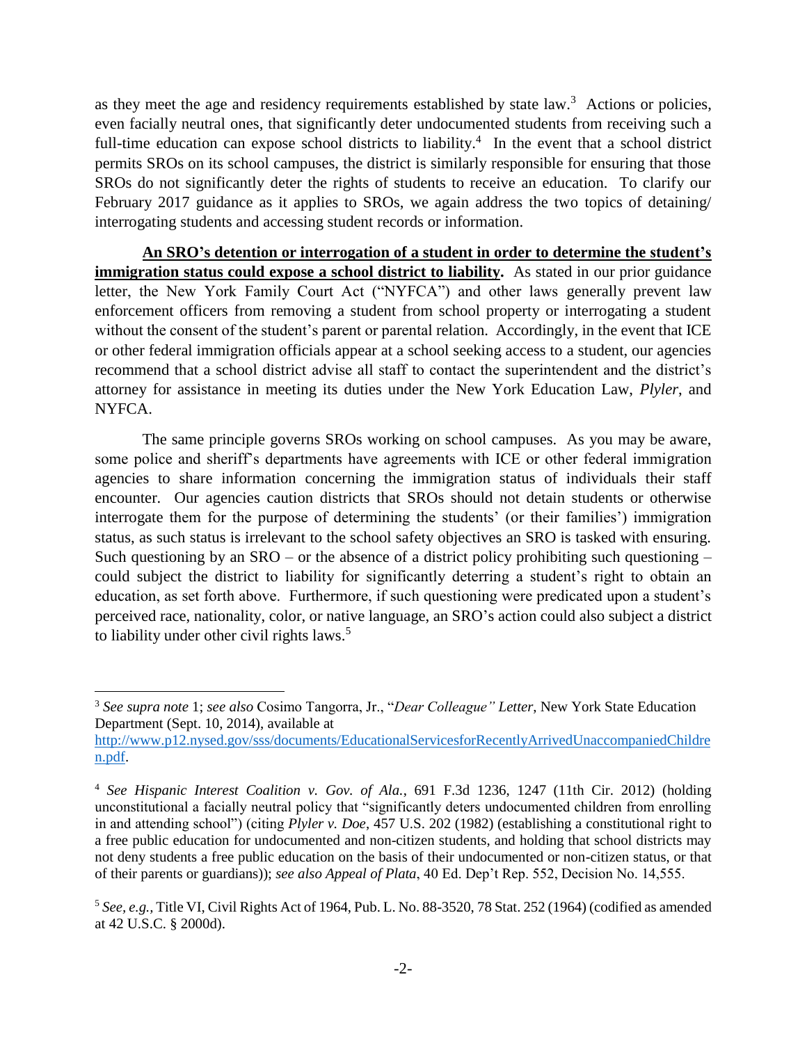as they meet the age and residency requirements established by state  $law$ <sup>3</sup>. Actions or policies, even facially neutral ones, that significantly deter undocumented students from receiving such a full-time education can expose school districts to liability.<sup>4</sup> In the event that a school district permits SROs on its school campuses, the district is similarly responsible for ensuring that those SROs do not significantly deter the rights of students to receive an education. To clarify our February 2017 guidance as it applies to SROs, we again address the two topics of detaining/ interrogating students and accessing student records or information.

**An SRO's detention or interrogation of a student in order to determine the student's immigration status could expose a school district to liability.** As stated in our prior guidance letter, the New York Family Court Act ("NYFCA") and other laws generally prevent law enforcement officers from removing a student from school property or interrogating a student without the consent of the student's parent or parental relation. Accordingly, in the event that ICE or other federal immigration officials appear at a school seeking access to a student, our agencies recommend that a school district advise all staff to contact the superintendent and the district's attorney for assistance in meeting its duties under the New York Education Law, *Plyler*, and NYFCA.

The same principle governs SROs working on school campuses. As you may be aware, some police and sheriff's departments have agreements with ICE or other federal immigration agencies to share information concerning the immigration status of individuals their staff encounter. Our agencies caution districts that SROs should not detain students or otherwise interrogate them for the purpose of determining the students' (or their families') immigration status, as such status is irrelevant to the school safety objectives an SRO is tasked with ensuring. Such questioning by an  $SRO - or$  the absence of a district policy prohibiting such questioning  $$ could subject the district to liability for significantly deterring a student's right to obtain an education, as set forth above. Furthermore, if such questioning were predicated upon a student's perceived race, nationality, color, or native language, an SRO's action could also subject a district to liability under other civil rights laws. $5$ 

 $\overline{\phantom{a}}$ 

<sup>3</sup> *See supra note* 1; *see also* Cosimo Tangorra, Jr., "*Dear Colleague" Letter*, New York State Education Department (Sept. 10, 2014), available at

[http://www.p12.nysed.gov/sss/documents/EducationalServicesforRecentlyArrivedUnaccompaniedChildre](http://www.p12.nysed.gov/sss/documents/EducationalServicesforRecentlyArrivedUnaccompaniedChildren.pdf) [n.pdf.](http://www.p12.nysed.gov/sss/documents/EducationalServicesforRecentlyArrivedUnaccompaniedChildren.pdf)

<sup>4</sup> *See Hispanic Interest Coalition v. Gov. of Ala.*, 691 F.3d 1236, 1247 (11th Cir. 2012) (holding unconstitutional a facially neutral policy that "significantly deters undocumented children from enrolling in and attending school") (citing *Plyler v. Doe*, 457 U.S. 202 (1982) (establishing a constitutional right to a free public education for undocumented and non-citizen students, and holding that school districts may not deny students a free public education on the basis of their undocumented or non-citizen status, or that of their parents or guardians)); *see also Appeal of Plata*, 40 Ed. Dep't Rep. 552, Decision No. 14,555.

<sup>5</sup> *See, e.g.,* Title VI, Civil Rights Act of 1964, Pub. L. No. 88-3520, 78 Stat. 252 (1964) (codified as amended at 42 U.S.C. § 2000d).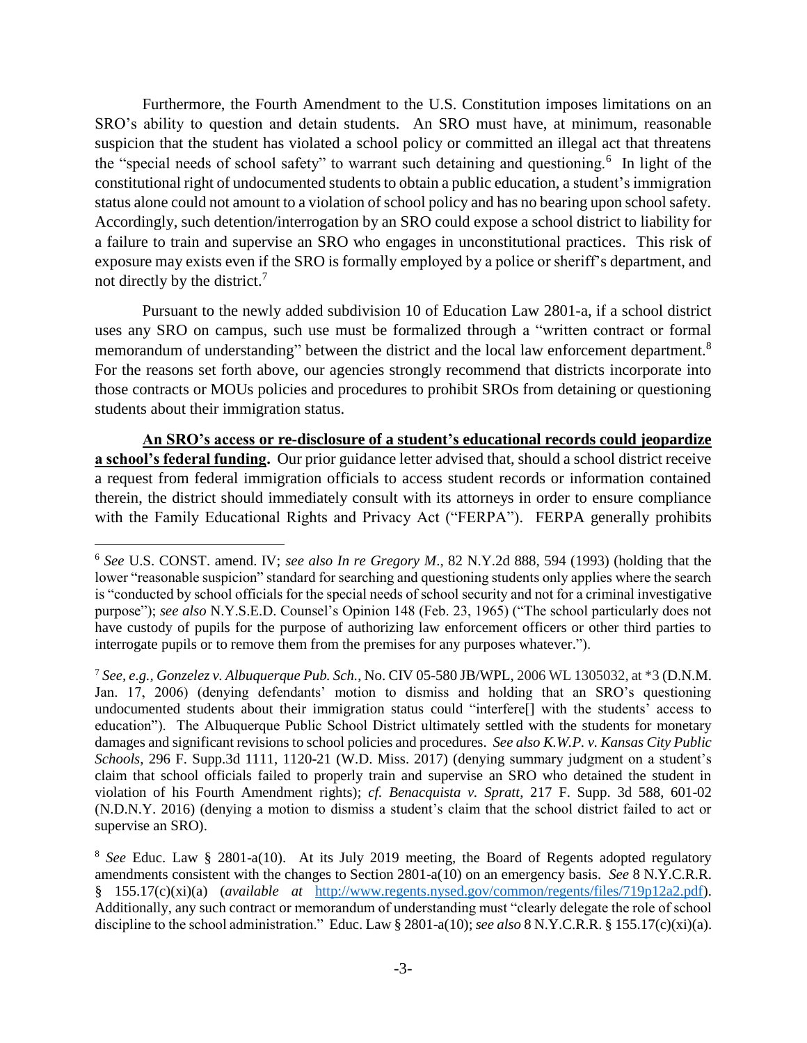Furthermore, the Fourth Amendment to the U.S. Constitution imposes limitations on an SRO's ability to question and detain students. An SRO must have, at minimum, reasonable suspicion that the student has violated a school policy or committed an illegal act that threatens the "special needs of school safety" to warrant such detaining and questioning.<sup>6</sup> In light of the constitutional right of undocumented students to obtain a public education, a student's immigration status alone could not amount to a violation of school policy and has no bearing upon school safety. Accordingly, such detention/interrogation by an SRO could expose a school district to liability for a failure to train and supervise an SRO who engages in unconstitutional practices. This risk of exposure may exists even if the SRO is formally employed by a police or sheriff's department, and not directly by the district.<sup>7</sup>

Pursuant to the newly added subdivision 10 of Education Law 2801-a, if a school district uses any SRO on campus, such use must be formalized through a "written contract or formal memorandum of understanding" between the district and the local law enforcement department.<sup>8</sup> For the reasons set forth above, our agencies strongly recommend that districts incorporate into those contracts or MOUs policies and procedures to prohibit SROs from detaining or questioning students about their immigration status.

**An SRO's access or re-disclosure of a student's educational records could jeopardize a school's federal funding.** Our prior guidance letter advised that, should a school district receive a request from federal immigration officials to access student records or information contained therein, the district should immediately consult with its attorneys in order to ensure compliance with the Family Educational Rights and Privacy Act ("FERPA"). FERPA generally prohibits

 $\overline{a}$ 

<sup>6</sup> *See* U.S. CONST. amend. IV; *see also In re Gregory M*., 82 N.Y.2d 888, 594 (1993) (holding that the lower "reasonable suspicion" standard for searching and questioning students only applies where the search is "conducted by school officials for the special needs of school security and not for a criminal investigative purpose"); *see also* N.Y.S.E.D. Counsel's Opinion 148 (Feb. 23, 1965) ("The school particularly does not have custody of pupils for the purpose of authorizing law enforcement officers or other third parties to interrogate pupils or to remove them from the premises for any purposes whatever.").

<sup>7</sup> *See, e.g., Gonzelez v. Albuquerque Pub. Sch.*, No. CIV 05-580 JB/WPL, 2006 WL 1305032, at \*3 (D.N.M. Jan. 17, 2006) (denying defendants' motion to dismiss and holding that an SRO's questioning undocumented students about their immigration status could "interfere[] with the students' access to education"). The Albuquerque Public School District ultimately settled with the students for monetary damages and significant revisions to school policies and procedures. *See also K.W.P. v. Kansas City Public Schools*, 296 F. Supp.3d 1111, 1120-21 (W.D. Miss. 2017) (denying summary judgment on a student's claim that school officials failed to properly train and supervise an SRO who detained the student in violation of his Fourth Amendment rights); *cf. Benacquista v. Spratt*, 217 F. Supp. 3d 588, 601-02 (N.D.N.Y. 2016) (denying a motion to dismiss a student's claim that the school district failed to act or supervise an SRO).

<sup>8</sup> *See* Educ. Law § 2801-a(10). At its July 2019 meeting, the Board of Regents adopted regulatory amendments consistent with the changes to Section 2801-a(10) on an emergency basis. *See* 8 N.Y.C.R.R. § 155.17(c)(xi)(a) (*available at* [http://www.regents.nysed.gov/common/regents/files/719p12a2.pdf\)](http://www.regents.nysed.gov/common/regents/files/719p12a2.pdf). Additionally, any such contract or memorandum of understanding must "clearly delegate the role of school discipline to the school administration." Educ. Law § 2801-a(10); *see also* 8 N.Y.C.R.R. § 155.17(c)(xi)(a).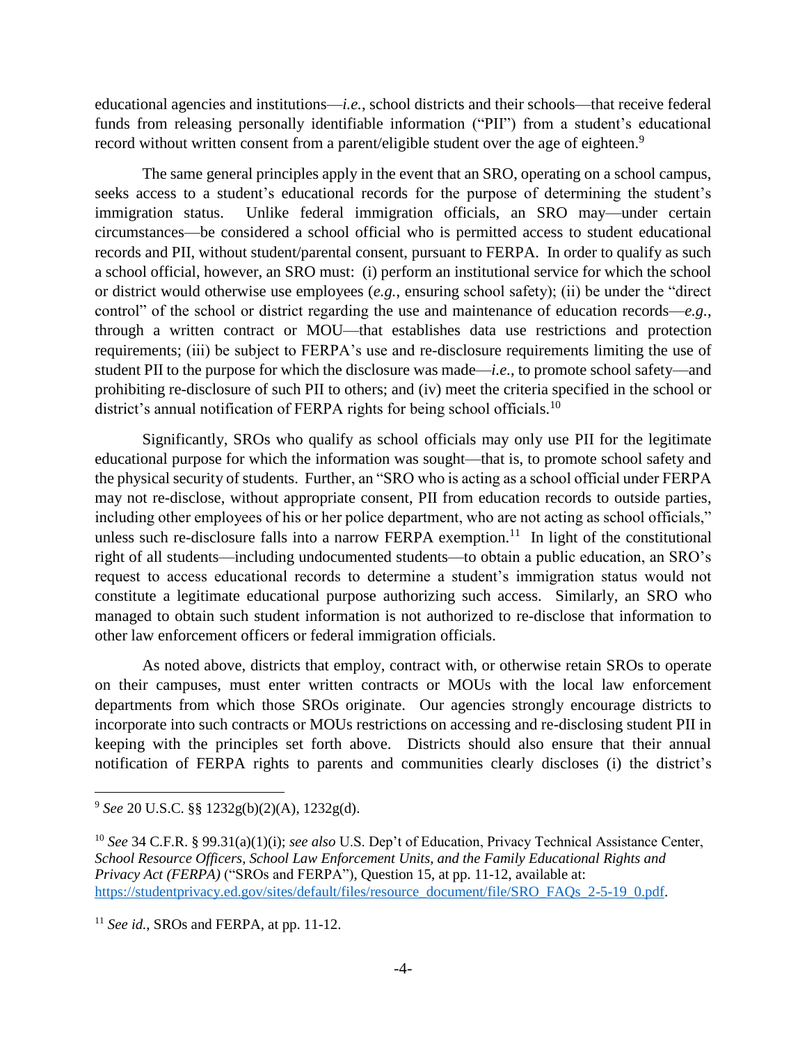educational agencies and institutions—*i.e.*, school districts and their schools—that receive federal funds from releasing personally identifiable information ("PII") from a student's educational record without written consent from a parent/eligible student over the age of eighteen.<sup>9</sup>

The same general principles apply in the event that an SRO, operating on a school campus, seeks access to a student's educational records for the purpose of determining the student's immigration status. Unlike federal immigration officials, an SRO may—under certain circumstances—be considered a school official who is permitted access to student educational records and PII, without student/parental consent, pursuant to FERPA. In order to qualify as such a school official, however, an SRO must: (i) perform an institutional service for which the school or district would otherwise use employees (*e.g.*, ensuring school safety); (ii) be under the "direct control" of the school or district regarding the use and maintenance of education records—*e.g.*, through a written contract or MOU—that establishes data use restrictions and protection requirements; (iii) be subject to FERPA's use and re-disclosure requirements limiting the use of student PII to the purpose for which the disclosure was made—*i.e.*, to promote school safety—and prohibiting re-disclosure of such PII to others; and (iv) meet the criteria specified in the school or district's annual notification of FERPA rights for being school officials.<sup>10</sup>

Significantly, SROs who qualify as school officials may only use PII for the legitimate educational purpose for which the information was sought—that is, to promote school safety and the physical security of students. Further, an "SRO who is acting as a school official under FERPA may not re-disclose, without appropriate consent, PII from education records to outside parties, including other employees of his or her police department, who are not acting as school officials," unless such re-disclosure falls into a narrow FERPA exemption.<sup>11</sup> In light of the constitutional right of all students—including undocumented students—to obtain a public education, an SRO's request to access educational records to determine a student's immigration status would not constitute a legitimate educational purpose authorizing such access. Similarly, an SRO who managed to obtain such student information is not authorized to re-disclose that information to other law enforcement officers or federal immigration officials.

As noted above, districts that employ, contract with, or otherwise retain SROs to operate on their campuses, must enter written contracts or MOUs with the local law enforcement departments from which those SROs originate. Our agencies strongly encourage districts to incorporate into such contracts or MOUs restrictions on accessing and re-disclosing student PII in keeping with the principles set forth above. Districts should also ensure that their annual notification of FERPA rights to parents and communities clearly discloses (i) the district's

l

<sup>9</sup> *See* 20 U.S.C. §§ 1232g(b)(2)(A), 1232g(d).

<sup>10</sup> *See* 34 C.F.R. § 99.31(a)(1)(i); *see also* U.S. Dep't of Education, Privacy Technical Assistance Center, *School Resource Officers, School Law Enforcement Units, and the Family Educational Rights and Privacy Act (FERPA)* ("SROs and FERPA"), Question 15, at pp. 11-12, available at: [https://studentprivacy.ed.gov/sites/default/files/resource\\_document/file/SRO\\_FAQs\\_2-5-19\\_0.pdf.](https://studentprivacy.ed.gov/sites/default/files/resource_document/file/SRO_FAQs_2-5-19_0.pdf)

<sup>&</sup>lt;sup>11</sup> *See id.*, SROs and FERPA, at pp. 11-12.